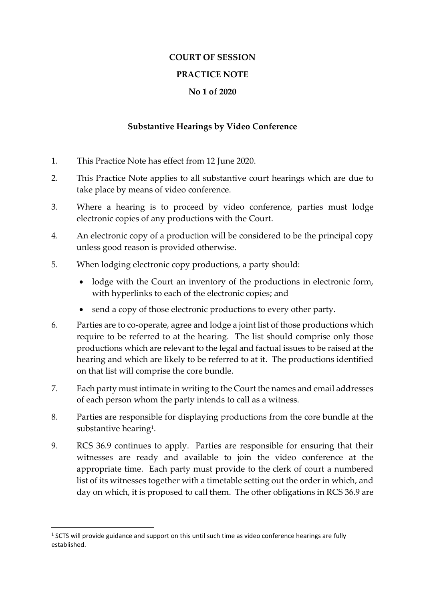## **COURT OF SESSION**

## **PRACTICE NOTE**

## **No 1 of 2020**

## **Substantive Hearings by Video Conference**

- 1. This Practice Note has effect from 12 June 2020.
- 2. This Practice Note applies to all substantive court hearings which are due to take place by means of video conference.
- 3. Where a hearing is to proceed by video conference, parties must lodge electronic copies of any productions with the Court.
- 4. An electronic copy of a production will be considered to be the principal copy unless good reason is provided otherwise.
- 5. When lodging electronic copy productions, a party should:
	- lodge with the Court an inventory of the productions in electronic form, with hyperlinks to each of the electronic copies; and
	- send a copy of those electronic productions to every other party.
- 6. Parties are to co-operate, agree and lodge a joint list of those productions which require to be referred to at the hearing. The list should comprise only those productions which are relevant to the legal and factual issues to be raised at the hearing and which are likely to be referred to at it. The productions identified on that list will comprise the core bundle.
- 7. Each party must intimate in writing to the Court the names and email addresses of each person whom the party intends to call as a witness.
- 8. Parties are responsible for displaying productions from the core bundle at the substantive hearing $^{\rm 1}$ .
- 9. RCS 36.9 continues to apply. Parties are responsible for ensuring that their witnesses are ready and available to join the video conference at the appropriate time. Each party must provide to the clerk of court a numbered list of its witnesses together with a timetable setting out the order in which, and day on which, it is proposed to call them. The other obligations in RCS 36.9 are

1

 $<sup>1</sup>$  SCTS will provide guidance and support on this until such time as video conference hearings are fully</sup> established.